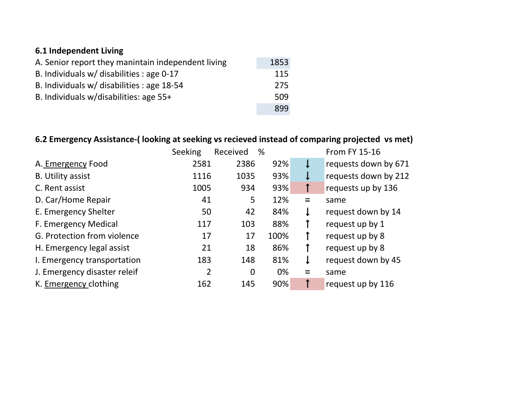### **6.1 Independent Living**

| A. Senior report they manintain independent living | 1853 |
|----------------------------------------------------|------|
| B. Individuals w/ disabilities : age 0-17          | 115  |
| B. Individuals w/ disabilities : age 18-54         | 275  |
| B. Individuals w/disabilities: age 55+             | 509  |
|                                                    | 899  |

## **6.2 Emergency Assistance-( looking at seeking vs recieved instead of comparing projected vs met)**

|                              | Seeking        | Received | %    |     | <b>From FY 15-16</b> |
|------------------------------|----------------|----------|------|-----|----------------------|
| A. Emergency Food            | 2581           | 2386     | 92%  | ↓   | requests down by 671 |
| <b>B.</b> Utility assist     | 1116           | 1035     | 93%  | ↓   | requests down by 212 |
| C. Rent assist               | 1005           | 934      | 93%  | ↑   | requests up by 136   |
| D. Car/Home Repair           | 41             | 5        | 12%  | $=$ | same                 |
| E. Emergency Shelter         | 50             | 42       | 84%  | ↓   | request down by 14   |
| F. Emergency Medical         | 117            | 103      | 88%  |     | request up by 1      |
| G. Protection from violence  | 17             | 17       | 100% |     | request up by 8      |
| H. Emergency legal assist    | 21             | 18       | 86%  |     | request up by 8      |
| I. Emergency transportation  | 183            | 148      | 81%  | ↓   | request down by 45   |
| J. Emergency disaster releif | $\overline{2}$ | 0        | 0%   | $=$ | same                 |
| K. Emergency clothing        | 162            | 145      | 90%  |     | request up by 116    |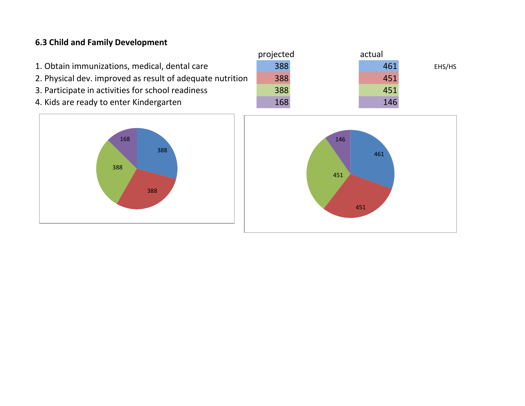#### **6.3 Child and Family Development**